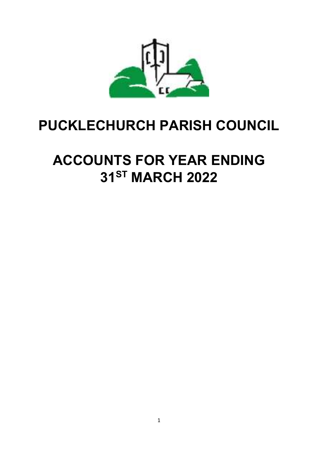

# **PUCKLECHURCH PARISH COUNCIL**

# **ACCOUNTS FOR YEAR ENDING 31ST MARCH 2022**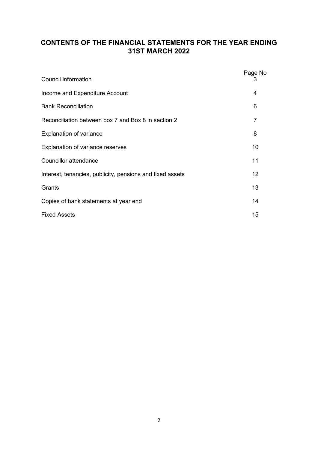# **CONTENTS OF THE FINANCIAL STATEMENTS FOR THE YEAR ENDING 31ST MARCH 2022**

| Council information                                       | Page No<br>3   |
|-----------------------------------------------------------|----------------|
| Income and Expenditure Account                            | 4              |
| <b>Bank Reconciliation</b>                                | 6              |
| Reconciliation between box 7 and Box 8 in section 2       | $\overline{7}$ |
| <b>Explanation of variance</b>                            | 8              |
| Explanation of variance reserves                          | 10             |
| Councillor attendance                                     | 11             |
| Interest, tenancies, publicity, pensions and fixed assets | 12             |
| Grants                                                    | 13             |
| Copies of bank statements at year end                     | 14             |
| <b>Fixed Assets</b>                                       | 15             |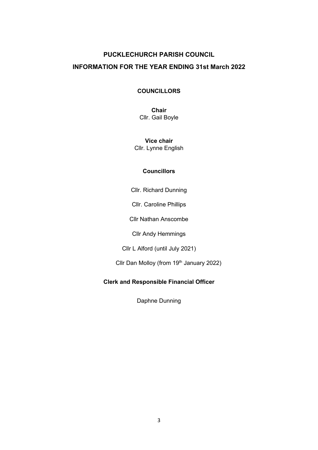# **PUCKLECHURCH PARISH COUNCIL INFORMATION FOR THE YEAR ENDING 31st March 2022**

# **COUNCILLORS**

**Chair** Cllr. Gail Boyle

**Vice chair** Cllr. Lynne English

## **Councillors**

Cllr. Richard Dunning

Cllr. Caroline Phillips

Cllr Nathan Anscombe

Cllr Andy Hemmings

Cllr L Alford (until July 2021)

Cllr Dan Molloy (from 19<sup>th</sup> January 2022)

# **Clerk and Responsible Financial Officer**

Daphne Dunning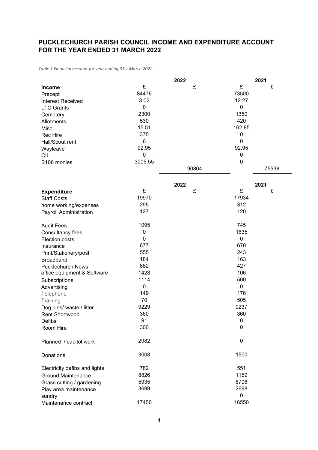# **PUCKLECHURCH PARISH COUNCIL INCOME AND EXPENDITURE ACCOUNT FOR THE YEAR ENDED 31 MARCH 2022**

*Table 1 Financial account for year ending 31st March 2022*

|                               |             | 2022  |             | 2021  |
|-------------------------------|-------------|-------|-------------|-------|
| <b>Income</b>                 | £           | £     | £           | £     |
| Precept                       | 84476       |       | 73500       |       |
| <b>Interest Received</b>      | 3.02        |       | 12.27       |       |
| <b>LTC Grants</b>             | 0           |       | $\mathbf 0$ |       |
| Cemetery                      | 2300        |       | 1350        |       |
| Allotments                    | 530         |       | 420         |       |
| Misc                          | 15.51       |       | 162.85      |       |
| Rec Hire                      | 375         |       | $\mathbf 0$ |       |
| Hall/Scout rent               | 6           |       | $\mathbf 0$ |       |
| Wayleave                      | 92.95       |       | 92.95       |       |
| <b>CIL</b>                    | 0           |       | 0           |       |
| S106 monies                   | 3005.55     |       | 0           |       |
|                               |             | 90804 |             | 75538 |
|                               |             |       |             |       |
|                               |             | 2022  |             | 2021  |
| <b>Expenditure</b>            | £           | £     | £           | £     |
| <b>Staff Costs</b>            | 19970       |       | 17934       |       |
| home working/expenses         | 295         |       | 312         |       |
| Payroll Administration        | 127         |       | 120         |       |
|                               |             |       |             |       |
| <b>Audit Fees</b>             | 1095        |       | 745         |       |
| Consultancy fees              | $\mathbf 0$ |       | 1635        |       |
| <b>Election costs</b>         | 0           |       | $\mathbf 0$ |       |
| Insurance                     | 677         |       | 670         |       |
| Print/Stationery/post         | 555         |       | 243         |       |
| <b>Broadband</b>              | 184         |       | 163         |       |
| <b>Pucklechurch News</b>      | 882         |       | 427         |       |
| office equipment & Software   | 1423        |       | 106         |       |
| Subscriptions                 | 1114        |       | 500         |       |
| Advertising                   | 0           |       | $\mathbf 0$ |       |
| Telephone                     | 149         |       | 176         |       |
| Training                      | 70          |       | 505         |       |
| Dog bins/ waste / litter      | 9229        |       | 9237        |       |
| <b>Rent Shortwood</b>         | 360         |       | 360         |       |
| Defibs                        | 91          |       | $\mathbf 0$ |       |
| Room Hire                     | 300         |       | 0           |       |
| Planned / capitol work        | 2982        |       | $\mathbf 0$ |       |
|                               |             |       |             |       |
| Donations                     | 3008        |       | 1500        |       |
| Electricity defibs and lights | 782         |       | 551         |       |
| <b>Ground Maintenance</b>     | 8826        |       | 1159        |       |
| Grass cutting / gardening     | 5935        |       | 6706        |       |
| Play area maintenance         | 3699        |       | 2698        |       |
| sundry                        |             |       | $\mathbf 0$ |       |
| Maintenance contract          | 17450       |       | 16550       |       |
|                               |             |       |             |       |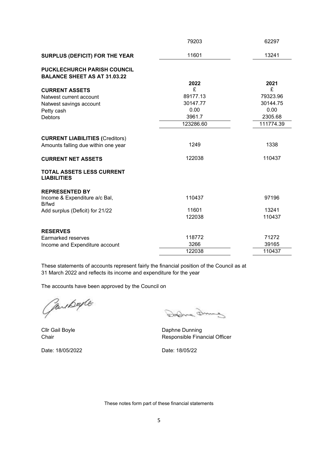|                                                        | 79203     | 62297     |
|--------------------------------------------------------|-----------|-----------|
| <b>SURPLUS (DEFICIT) FOR THE YEAR</b>                  | 11601     | 13241     |
| <b>PUCKLECHURCH PARISH COUNCIL</b>                     |           |           |
| <b>BALANCE SHEET AS AT 31.03.22</b>                    |           |           |
|                                                        | 2022      | 2021      |
| <b>CURRENT ASSETS</b>                                  | £         | £         |
| Natwest current account                                | 89177.13  | 79323.96  |
| Natwest savings account                                | 30147.77  | 30144.75  |
| Petty cash                                             | 0.00      | 0.00      |
| <b>Debtors</b>                                         | 3961.7    | 2305.68   |
|                                                        | 123286.60 | 111774.39 |
|                                                        |           |           |
| <b>CURRENT LIABILITIES (Creditors)</b>                 |           |           |
| Amounts falling due within one year                    | 1249      | 1338      |
| <b>CURRENT NET ASSETS</b>                              | 122038    | 110437    |
| <b>TOTAL ASSETS LESS CURRENT</b><br><b>LIABILITIES</b> |           |           |
| <b>REPRESENTED BY</b>                                  |           |           |
| Income & Expenditure a/c Bal,<br>B/fwd                 | 110437    | 97196     |
| Add surplus (Deficit) for 21/22                        | 11601     | 13241     |
|                                                        | 122038    | 110437    |
| <b>RESERVES</b>                                        |           |           |
| Earmarked reserves                                     | 118772    | 71272     |
| Income and Expenditure account                         | 3266      | 39165     |
|                                                        | 122038    | 110437    |

These statements of accounts represent fairly the financial position of the Council as at 31 March 2022 and reflects its income and expenditure for the year

The accounts have been approved by the Council on

Gardbapte

Date: 18/05/2022 Date: 18/05/22

Dodna Dring

Cllr Gail Boyle **Daphne Dunning Chair** Chair **Responsible Financial Officer** 

These notes form part of these financial statements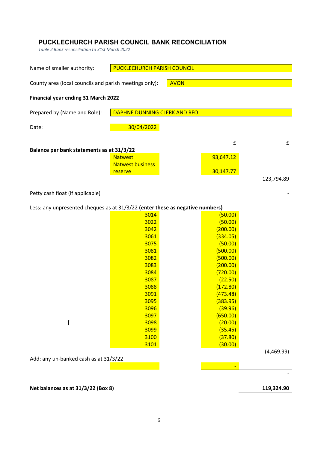# **PUCKLECHURCH PARISH COUNCIL BANK RECONCILIATION**

*Table 2 Bank reconciliation to 31st March 2022*

| Name of smaller authority:                                                    | <b>PUCKLECHURCH PARISH COUNCIL</b> |             |            |
|-------------------------------------------------------------------------------|------------------------------------|-------------|------------|
| County area (local councils and parish meetings only):                        |                                    | <b>AVON</b> |            |
| Financial year ending 31 March 2022                                           |                                    |             |            |
| Prepared by (Name and Role):                                                  | DAPHNE DUNNING CLERK AND RFO       |             |            |
| Date:                                                                         | 30/04/2022                         |             |            |
|                                                                               |                                    | £           | £          |
| Balance per bank statements as at 31/3/22                                     |                                    |             |            |
|                                                                               | <b>Natwest</b>                     | 93,647.12   |            |
|                                                                               | <b>Natwest business</b>            |             |            |
|                                                                               | reserve                            | 30,147.77   |            |
|                                                                               |                                    |             | 123,794.89 |
| Petty cash float (if applicable)                                              |                                    |             |            |
| Less: any unpresented cheques as at 31/3/22 (enter these as negative numbers) |                                    |             |            |
|                                                                               | 3014                               | (50.00)     |            |
|                                                                               | 3022                               | (50.00)     |            |
|                                                                               | 3042                               | (200.00)    |            |
|                                                                               | 3061                               | (334.05)    |            |
|                                                                               | 3075                               | (50.00)     |            |
|                                                                               | 3081                               | (500.00)    |            |
|                                                                               | 3082                               | (500.00)    |            |
|                                                                               | 3083                               | (200.00)    |            |
|                                                                               | 3084                               | (720.00)    |            |
|                                                                               | 3087                               | (22.50)     |            |
|                                                                               | 3088                               | (172.80)    |            |
|                                                                               | 3091                               | (473.48)    |            |
|                                                                               | 3095                               | (383.95)    |            |
|                                                                               | 3096                               | (39.96)     |            |
|                                                                               | 3097                               | (650.00)    |            |
| l                                                                             | 3098                               | (20.00)     |            |
|                                                                               | 3099                               | (35.45)     |            |
|                                                                               | 3100                               | (37.80)     |            |
|                                                                               | 3101                               | (30.00)     |            |
|                                                                               |                                    |             | (4,469.99) |
| Add: any un-banked cash as at 31/3/22                                         |                                    |             |            |
|                                                                               |                                    | Ξ           |            |
|                                                                               |                                    |             |            |
|                                                                               |                                    |             |            |

# Net balances as at 31/3/22 (Box 8) 119,324.90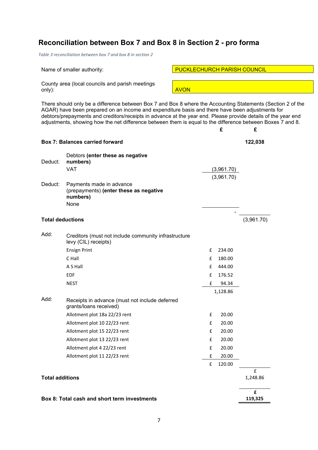# **Reconciliation between Box 7 and Box 8 in Section 2 - pro forma**

*Table 3 reconciliation between box 7 and box 8 in section 2*

County area (local councils and parish meetings only): <mark>AVON</mark>

There should only be a difference between Box 7 and Box 8 where the Accounting Statements (Section 2 of the AGAR) have been prepared on an income and expenditure basis and there have been adjustments for debtors/prepayments and creditors/receipts in advance at the year end. Please provide details of the year end adjustments, showing how the net difference between them is equal to the difference between Boxes 7 and 8.

|                         | <b>Box 7: Balances carried forward</b>                                                 |   |            | 122,038       |
|-------------------------|----------------------------------------------------------------------------------------|---|------------|---------------|
| Deduct:                 | Debtors (enter these as negative<br>numbers)<br><b>VAT</b>                             |   | (3,961.70) |               |
|                         |                                                                                        |   | (3,961.70) |               |
| Deduct:                 | Payments made in advance<br>(prepayments) (enter these as negative<br>numbers)<br>None |   |            |               |
|                         |                                                                                        |   |            |               |
| <b>Total deductions</b> |                                                                                        |   |            | (3,961.70)    |
| Add:                    | Creditors (must not include community infrastructure<br>levy (CIL) receipts)           |   |            |               |
|                         | <b>Ensign Print</b>                                                                    | £ | 234.00     |               |
|                         | C Hall                                                                                 | £ | 180.00     |               |
|                         | A S Hall                                                                               | £ | 444.00     |               |
|                         | <b>EDF</b>                                                                             | f | 176.52     |               |
|                         | <b>NEST</b>                                                                            | £ | 94.34      |               |
|                         |                                                                                        |   | 1,128.86   |               |
| Add:                    | Receipts in advance (must not include deferred<br>grants/loans received)               |   |            |               |
|                         | Allotment plot 18a 22/23 rent                                                          | £ | 20.00      |               |
|                         | Allotment plot 10 22/23 rent                                                           | £ | 20.00      |               |
|                         | Allotment plot 15 22/23 rent                                                           | £ | 20.00      |               |
|                         | Allotment plot 13 22/23 rent                                                           | £ | 20.00      |               |
|                         | Allotment plot 4 22/23 rent                                                            | £ | 20.00      |               |
|                         | Allotment plot 11 22/23 rent                                                           | £ | 20.00      |               |
|                         |                                                                                        | £ | 120.00     |               |
| <b>Total additions</b>  |                                                                                        |   |            | £<br>1,248.86 |
|                         | Box 8: Total cash and short term investments                                           |   |            | £<br>119,325  |

Name of smaller authority: Name of smaller authority: PUCKLECHURCH PARISH COUNCIL

**£ £**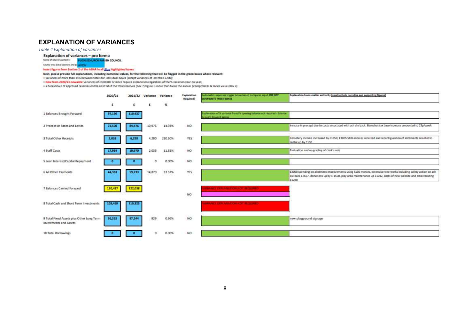# **EXPLANATION OF VARIANCES**

*Table 4 Explanation of variances*

#### Explanation of variances - pro forma

Name of smaller authority **PUCKECHURCH PARISH COUNCIL** 

County was (local councils and pa AVEN)

#### Insert figures from Section 2 of the AGAR in all Blue highlighted boxes

Next, please provide full explanations, including numerical values, for the following that will be flagged in the green boxes where relevant:

. variances of more than 15% between totals for individual boxes (except variances of less than £200);

. New from 2020/21 anwards: variances of £100,000 or more require explanation regardless of the % variation year on year;

. a breakdown of approved reserves on the next tab if the total reserves (Box 7) figure is more than twice the annual procept/rates & levies value (Box 2).

|                                                                            | 2020/21 | 2021/22 | Variance Variance |              | Explanation<br>Required? | Automatic responses trager below based on Figures input, DO NOT<br><b>OVERWRITE THESE BOXES</b>     | Explanation from smaller authority (must include narrative and supporting figures)                                                                                                                                                          |
|----------------------------------------------------------------------------|---------|---------|-------------------|--------------|--------------------------|-----------------------------------------------------------------------------------------------------|---------------------------------------------------------------------------------------------------------------------------------------------------------------------------------------------------------------------------------------------|
|                                                                            | £       | £       | £                 | $\mathbf{X}$ |                          |                                                                                                     |                                                                                                                                                                                                                                             |
| 1 Balances Brought Forward                                                 | 97.196  | 110,437 |                   |              |                          | Explanation of % variance from PY opening balance not required - balance<br>brought forward agrees. |                                                                                                                                                                                                                                             |
| 2 Precept or Rates and Levies                                              | 72.500  | 84,476  | 10,976            | 14.93%       | NO                       |                                                                                                     | incease in precept due to costs associated with ash die back. Based on tax base increase amounted to 22p/week                                                                                                                               |
| 3 Total Other Receipts                                                     | 2,038   | 6,328   | 4,290             | 210.50%      | YES                      |                                                                                                     | Cometery income increased by £1950, £3005 \$106 monies received and reconfiguration of allotments resulted in<br>rental up by £110                                                                                                          |
| 4 Staff Costs                                                              | 17,934  | 19,970  | 2,036             | 11.35%       | NO                       |                                                                                                     | Evaluation and re-grading of clerk's role                                                                                                                                                                                                   |
| 5 Loan Interest/Capital Repayment                                          |         |         | o                 | 0.00%        | NO                       |                                                                                                     |                                                                                                                                                                                                                                             |
| 6 All Other Payments                                                       | 44,363  | 59,233  | 14,870            | 33.52%       | YES                      |                                                                                                     | E3000 spending on allotment improvements using \$106 monies, extensive tree works including safety action on ash<br>die back £7667, donations up by £ 1500, play area maintenance up £1012, costs of new website and email hosting<br>E1280 |
| 7 Balances Carried Forward                                                 | 110,437 | 122,038 |                   |              | NO.                      | <b>LRAUGHLER RELANSIFICIAL ALCOHOL REQUIRED.</b>                                                    |                                                                                                                                                                                                                                             |
| 8 Total Cash and Short Term Investments                                    | 109,469 | 119,325 |                   |              |                          | <b>A RAINER ERPEANATION NIGHT REQUIRED</b>                                                          |                                                                                                                                                                                                                                             |
| 9 Total Fixed Assets plus Other Long Term<br><b>Investments and Assets</b> | 96,315  | 97,244  | 929               | 0.96%        | wa<br>NO                 |                                                                                                     | new playground signage                                                                                                                                                                                                                      |
|                                                                            |         |         |                   |              |                          |                                                                                                     |                                                                                                                                                                                                                                             |
| 10 Total Borrowings                                                        |         |         | ō                 | 0.00%        | NO                       |                                                                                                     |                                                                                                                                                                                                                                             |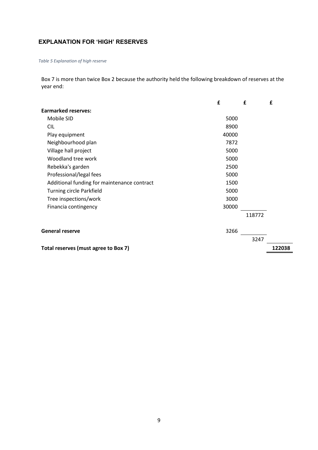# **EXPLANATION FOR 'HIGH' RESERVES**

*Table 5 Explanation of high reserve*

Box 7 is more than twice Box 2 because the authority held the following breakdown of reserves at the year end:

|                                             | £     | £      | £      |
|---------------------------------------------|-------|--------|--------|
| <b>Earmarked reserves:</b>                  |       |        |        |
| Mobile SID                                  | 5000  |        |        |
| <b>CIL</b>                                  | 8900  |        |        |
| Play equipment                              | 40000 |        |        |
| Neighbourhood plan                          | 7872  |        |        |
| Village hall project                        | 5000  |        |        |
| Woodland tree work                          | 5000  |        |        |
| Rebekka's garden                            | 2500  |        |        |
| Professional/legal fees                     | 5000  |        |        |
| Additional funding for maintenance contract | 1500  |        |        |
| <b>Turning circle Parkfield</b>             | 5000  |        |        |
| Tree inspections/work                       | 3000  |        |        |
| Financia contingency                        | 30000 |        |        |
|                                             |       | 118772 |        |
| <b>General reserve</b>                      | 3266  |        |        |
|                                             |       | 3247   |        |
| Total reserves (must agree to Box 7)        |       |        | 122038 |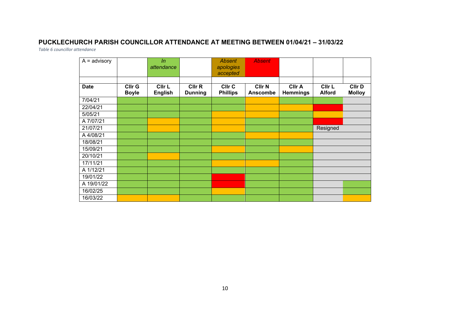# **PUCKLECHURCH PARISH COUNCILLOR ATTENDANCE AT MEETING BETWEEN 01/04/21 – 31/03/22**

*Table 6 councillor attendance*

| $A =$ advisory |                        | ln                       |                          | <b>Absent</b>             | <b>Absent</b>                    |                                  |                         |                         |
|----------------|------------------------|--------------------------|--------------------------|---------------------------|----------------------------------|----------------------------------|-------------------------|-------------------------|
|                |                        | attendance               |                          | apologies<br>accepted     |                                  |                                  |                         |                         |
|                |                        |                          |                          |                           |                                  |                                  |                         |                         |
| <b>Date</b>    | CIIr G<br><b>Boyle</b> | CIIr L<br><b>English</b> | CIIr R<br><b>Dunning</b> | CIIr C<br><b>Phillips</b> | <b>CIIr N</b><br><b>Anscombe</b> | <b>Cllr A</b><br><b>Hemmings</b> | CIIr L<br><b>Alford</b> | Cllr D<br><b>Molloy</b> |
| 7/04/21        |                        |                          |                          |                           |                                  |                                  |                         |                         |
| 22/04/21       |                        |                          |                          |                           |                                  |                                  |                         |                         |
| 5/05/21        |                        |                          |                          |                           |                                  |                                  |                         |                         |
| A 7/07/21      |                        |                          |                          |                           |                                  |                                  |                         |                         |
| 21/07/21       |                        |                          |                          |                           |                                  |                                  | Resigned                |                         |
| A 4/08/21      |                        |                          |                          |                           |                                  |                                  |                         |                         |
| 18/08/21       |                        |                          |                          |                           |                                  |                                  |                         |                         |
| 15/09/21       |                        |                          |                          |                           |                                  |                                  |                         |                         |
| 20/10/21       |                        |                          |                          |                           |                                  |                                  |                         |                         |
| 17/11/21       |                        |                          |                          |                           |                                  |                                  |                         |                         |
| A 1/12/21      |                        |                          |                          |                           |                                  |                                  |                         |                         |
| 19/01/22       |                        |                          |                          |                           |                                  |                                  |                         |                         |
| A 19/01/22     |                        |                          |                          |                           |                                  |                                  |                         |                         |
| 16/02/25       |                        |                          |                          |                           |                                  |                                  |                         |                         |
| 16/03/22       |                        |                          |                          |                           |                                  |                                  |                         |                         |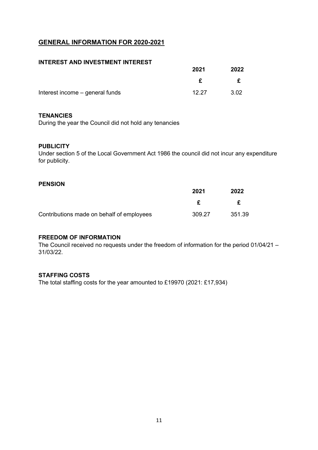# **GENERAL INFORMATION FOR 2020-2021**

# **INTEREST AND INVESTMENT INTEREST**

|                                 | 2021  | 2022 |
|---------------------------------|-------|------|
|                                 |       | £    |
| Interest income - general funds | 12.27 | 3.02 |

### **TENANCIES**

During the year the Council did not hold any tenancies

### **PUBLICITY**

Under section 5 of the Local Government Act 1986 the council did not incur any expenditure for publicity.

### **PENSION**

|                                           | 2021   | 2022   |
|-------------------------------------------|--------|--------|
|                                           |        | f      |
| Contributions made on behalf of employees | 309.27 | 351.39 |

## **FREEDOM OF INFORMATION**

The Council received no requests under the freedom of information for the period 01/04/21 – 31/03/22.

### **STAFFING COSTS**

The total staffing costs for the year amounted to £19970 (2021: £17,934)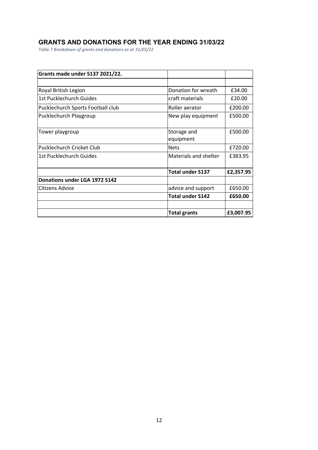# **GRANTS AND DONATIONS FOR THE YEAR ENDING 31/03/22**

*Table 7 Breakdown of grants and donations as at 31/03/22*

| Grants made under S137 2021/22.   |                         |           |
|-----------------------------------|-------------------------|-----------|
|                                   |                         |           |
| Royal British Legion              | Donation for wreath     | £34.00    |
| 1st Pucklechurch Guides           | craft materials         | £20.00    |
| Pucklechurch Sports Football club | Roller aerator          | £200.00   |
| Pucklechurch Playgroup            | New play equipment      | £500.00   |
|                                   |                         |           |
| Tower playgroup                   | Storage and             | £500.00   |
|                                   | equipment               |           |
| Pucklechurch Cricket Club         | <b>Nets</b>             | £720.00   |
| 1st Pucklechurch Guides           | Materials and shelter   | £383.95   |
|                                   | <b>Total under S137</b> | £2,357.95 |
| Donations under LGA 1972 S142     |                         |           |
| Citizens Advice                   | advice and support      | £650.00   |
|                                   | <b>Total under S142</b> | £650.00   |
|                                   |                         |           |
|                                   | <b>Total grants</b>     | £3,007.95 |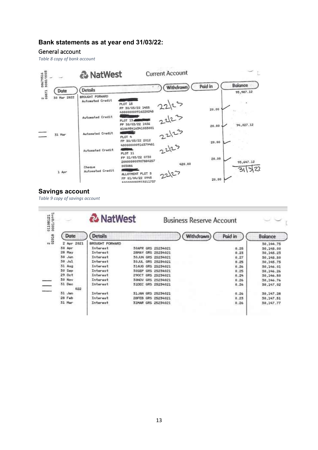# **Bank statements as at year end 31/03/22:**

#### General account

*Table 8 copy of bank account*



# **Savings account**

*Table 9 copy of savings account*

|                    | & NatWest       |                       | <b>Business Reserve Account</b> |         |                |
|--------------------|-----------------|-----------------------|---------------------------------|---------|----------------|
| Date               | <b>Details</b>  |                       | Withdrawn                       | Poid in | <b>Balance</b> |
| 2 Apr 2021         | BROUGHT FORWARD |                       |                                 |         | 30,144.75      |
| 30 Apr             | Interest        | 30APR GRS 25234021    |                                 | 0.25    | 30,145.00      |
| 28 May             | Interest        | 28MAY<br>GRS 25234021 |                                 | 0.23    | 30,145.23      |
| $30$ Jun           | Interest        | 30JUN GRS 25234021    |                                 | 0.27    | 30,145.50      |
| 30 Jul             | Interest        | 30JUL GRS 25234021    |                                 | 0.25    | 30,145.75      |
| $31$ Aug           | Interest        | 31AUG GRS 25234021    |                                 | 0.26    | 30,146.01      |
| 30 Sep             | Interest        | 30SEP<br>GRS 25234021 |                                 | 0.25    | 30,146.26      |
| 29.0 <sub>ct</sub> | Interest        | 290CT<br>GRS 25234021 |                                 | 0.24    | 30,146.50      |
| 30 Nov             | Interest        | 30NOV GRS 25234021    |                                 | 0.26    | 30,146.76      |
| 31 Dec             | Interest        | 31DEC GRS 25234021    |                                 | 0.26    | 30,147.02      |
| 022                |                 |                       |                                 |         |                |
| 31 Jan             | Interest        | 31JAN GRS 25234021    |                                 | 0.26    | 30,147.28      |
| 28 Feb             | Interest        | GRS 25234021<br>28FEB |                                 | 0.23    | 30,147.51      |
| 31 Mar             | Interest        | 31MAR GRS 25234021    |                                 | 0.26    | 30,147.77      |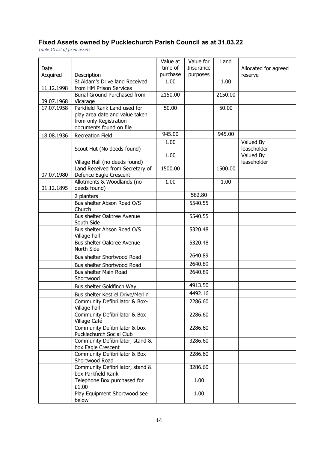# **Fixed Assets owned by Pucklechurch Parish Council as at 31.03.22**

*Table 10 list of fixed assets*

|            |                                                        | Value at            | Value for | Land    |                      |
|------------|--------------------------------------------------------|---------------------|-----------|---------|----------------------|
| Date       |                                                        | time of<br>purchase | Insurance |         | Allocated for agreed |
| Acquired   | Description<br>St Aldam's Drive land Received          | 1.00                | purposes  | 1.00    | reserve              |
| 11.12.1998 | from HM Prison Services                                |                     |           |         |                      |
|            | Burial Ground Purchased from                           | 2150.00             |           | 2150.00 |                      |
| 09.07.1968 | Vicarage                                               |                     |           |         |                      |
| 17.07.1958 | Parkfield Rank Land used for                           | 50.00               |           | 50.00   |                      |
|            | play area date and value taken                         |                     |           |         |                      |
|            | from only Registration<br>documents found on file      |                     |           |         |                      |
| 18.08.1936 | <b>Recreation Field</b>                                | 945.00              |           | 945.00  |                      |
|            |                                                        | 1.00                |           |         | Valued By            |
|            | Scout Hut (No deeds found)                             |                     |           |         | leaseholder          |
|            |                                                        | 1.00                |           |         | Valued By            |
|            | Village Hall (no deeds found)                          |                     |           |         | leaseholder          |
|            | Land Received from Secretary of                        | 1500.00             |           | 1500.00 |                      |
| 07.07.1980 | Defence Eagle Crescent                                 |                     |           |         |                      |
| 01.12.1895 | Allotments & Woodlands (no<br>deeds found)             | 1.00                |           | 1.00    |                      |
|            | 2 planters                                             |                     | 582.80    |         |                      |
|            | Bus shelter Abson Road O/S                             |                     | 5540.55   |         |                      |
|            | Church                                                 |                     |           |         |                      |
|            | Bus shelter Oaktree Avenue<br>South Side               |                     | 5540.55   |         |                      |
|            | Bus shelter Abson Road O/S                             |                     | 5320.48   |         |                      |
|            | Village hall                                           |                     |           |         |                      |
|            | Bus shelter Oaktree Avenue<br>North Side               |                     | 5320.48   |         |                      |
|            | Bus shelter Shortwood Road                             |                     | 2640.89   |         |                      |
|            | Bus shelter Shortwood Road                             |                     | 2640.89   |         |                      |
|            | Bus shelter Main Road                                  |                     | 2640.89   |         |                      |
|            | Shortwood                                              |                     |           |         |                      |
|            | Bus shelter Goldfinch Way                              |                     | 4913.50   |         |                      |
|            | Bus shelter Kestrel Drive/Merlin                       |                     | 4492.16   |         |                      |
|            | Community Defibrillator & Box-<br>Village hall         |                     | 2286.60   |         |                      |
|            | Community Defibrillator & Box<br>Village Café          |                     | 2286.60   |         |                      |
|            | Community Defibrillator & box                          |                     | 2286.60   |         |                      |
|            | Pucklechurch Social Club                               |                     |           |         |                      |
|            | Community Defibrillator, stand &                       |                     | 3286.60   |         |                      |
|            | box Eagle Crescent                                     |                     |           |         |                      |
|            | Community Defibrillator & Box<br>Shortwood Road        |                     | 2286.60   |         |                      |
|            | Community Defibrillator, stand &<br>box Parkfield Rank |                     | 3286.60   |         |                      |
|            | Telephone Box purchased for<br>£1.00                   |                     | 1.00      |         |                      |
|            | Play Equipment Shortwood see<br>below                  |                     | 1.00      |         |                      |